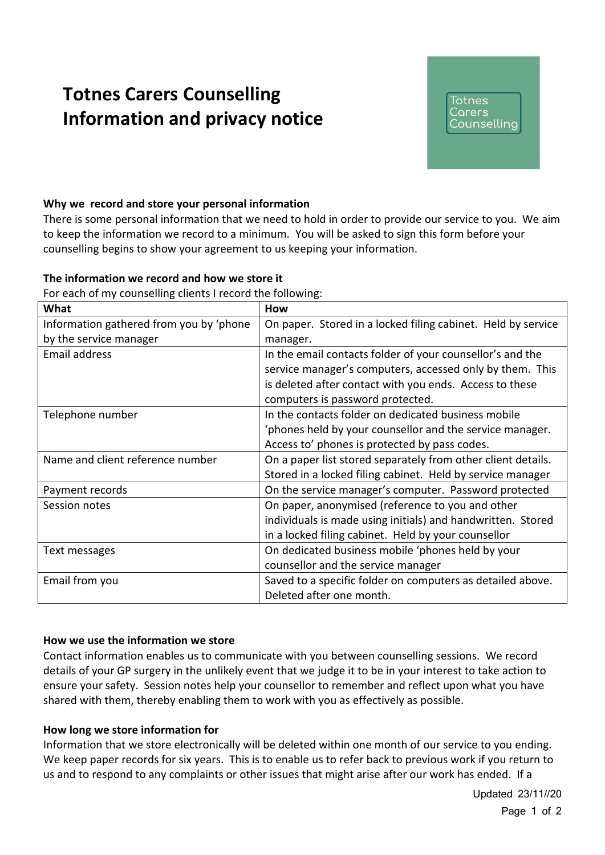# **Totnes Carers Counselling Information and privacy notice**

## Totnes Carers Counselling

## **Why we record and store your personal information**

There is some personal information that we need to hold in order to provide our service to you. We aim to keep the information we record to a minimum. You will be asked to sign this form before your counselling begins to show your agreement to us keeping your information.

#### **The information we record and how we store it**

For each of my counselling clients I record the following:

| What                                    | How                                                          |
|-----------------------------------------|--------------------------------------------------------------|
| Information gathered from you by 'phone | On paper. Stored in a locked filing cabinet. Held by service |
| by the service manager                  | manager.                                                     |
| Email address                           | In the email contacts folder of your counsellor's and the    |
|                                         | service manager's computers, accessed only by them. This     |
|                                         | is deleted after contact with you ends. Access to these      |
|                                         | computers is password protected.                             |
| Telephone number                        | In the contacts folder on dedicated business mobile          |
|                                         | 'phones held by your counsellor and the service manager.     |
|                                         | Access to' phones is protected by pass codes.                |
| Name and client reference number        | On a paper list stored separately from other client details. |
|                                         | Stored in a locked filing cabinet. Held by service manager   |
| Payment records                         | On the service manager's computer. Password protected        |
| Session notes                           | On paper, anonymised (reference to you and other             |
|                                         | individuals is made using initials) and handwritten. Stored  |
|                                         | in a locked filing cabinet. Held by your counsellor          |
| Text messages                           | On dedicated business mobile 'phones held by your            |
|                                         | counsellor and the service manager                           |
| Email from you                          | Saved to a specific folder on computers as detailed above.   |
|                                         | Deleted after one month.                                     |

#### **How we use the information we store**

Contact information enables us to communicate with you between counselling sessions. We record details of your GP surgery in the unlikely event that we judge it to be in your interest to take action to ensure your safety. Session notes help your counsellor to remember and reflect upon what you have shared with them, thereby enabling them to work with you as effectively as possible.

#### **How long we store information for**

Information that we store electronically will be deleted within one month of our service to you ending. We keep paper records for six years. This is to enable us to refer back to previous work if you return to us and to respond to any complaints or other issues that might arise after our work has ended. If a